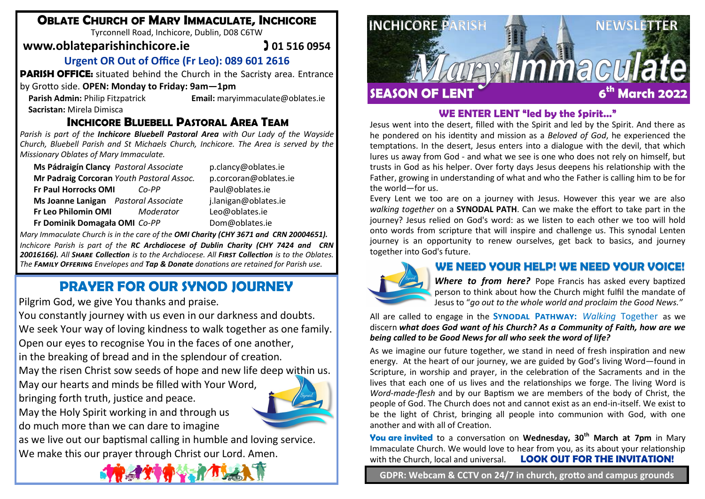# **OBLATE CHURCH OF MARY IMMACULATE, INCHICORE**

Tyrconnell Road, Inchicore, Dublin, D08 C6TW

# **www.oblateparishinchicore.ie** 201 516 0954

# **Urgent OR Out of Office (Fr Leo): 089 601 2616**

**PARISH OFFICE:** situated behind the Church in the Sacristy area. Entrance

### by Grotto side. **OPEN: Monday to Friday: 9am—1pm**

**Sacristan:** Mirela Dimisca

**Parish Admin:** Philip Fitzpatrick **Email:** maryimmaculate@oblates.ie

# **INCHICORE BLUEBELL PASTORAL AREA TEAM**

*Parish is part of the Inchicore Bluebell Pastoral Area with Our Lady of the Wayside Church, Bluebell Parish and St Michaels Church, Inchicore. The Area is served by the Missionary Oblates of Mary Immaculate.* 

| Ms Pádraigín Clancy Pastoral Associate    |           | p.cla  |
|-------------------------------------------|-----------|--------|
| Mr Padraig Corcoran Youth Pastoral Assoc. |           | D.COI  |
| Fr Paul Horrocks OMI                      | $Co-PP$   | Paul   |
| Ms Joanne Lanigan Pastoral Associate      |           | j.lani |
| Fr Leo Philomin OMI                       | Moderator | Leo@   |
| Fr Dominik Domagała OMI Co-PP             |           | Dom    |

**Ms Pádraigín Clancy** *Pastoral Associate* p.clancy@oblates.ie **Mr Padraig Corcoran** *Youth Pastoral Assoc.* p.corcoran@oblates.ie **Fr Paul Horrocks OMI** *Co-PP* Paul@oblates.ie **Ms Joanne Lanigan** *Pastoral Associate* j.lanigan@oblates.ie **Fr Leo Philomin OMI** *Moderator* Leo@oblates.ie  $\omega$ oblates.ie

*Mary Immaculate Church is in the care of the OMI Charity (CHY 3671 and CRN 20004651). Inchicore Parish is part of the RC Archdiocese of Dublin Charity (CHY 7424 and CRN 20016166). All Share Collection is to the Archdiocese. All First Collection is to the Oblates. The Family Offering Envelopes and Tap & Donate donations are retained for Parish use.*

# **PRAYER FOR OUR SYNOD JOURNEY**

Pilgrim God, we give You thanks and praise.

You constantly journey with us even in our darkness and doubts. We seek Your way of loving kindness to walk together as one family. Open our eyes to recognise You in the faces of one another,

in the breaking of bread and in the splendour of creation.

May the risen Christ sow seeds of hope and new life deep within us.

May our hearts and minds be filled with Your Word, bringing forth truth, justice and peace.



May the Holy Spirit working in and through us do much more than we can dare to imagine

as we live out our baptismal calling in humble and loving service. We make this our prayer through Christ our Lord. Amen.





## **WE ENTER LENT "led by the Spirit…"**

Jesus went into the desert, filled with the Spirit and led by the Spirit. And there as he pondered on his identity and mission as a *Beloved of God*, he experienced the temptations. In the desert, Jesus enters into a dialogue with the devil, that which lures us away from God - and what we see is one who does not rely on himself, but trusts in God as his helper. Over forty days Jesus deepens his relationship with the Father, growing in understanding of what and who the Father is calling him to be for the world—for us.

Every Lent we too are on a journey with Jesus. However this year we are also *walking together* on a **SYNODAL PATH**. Can we make the effort to take part in the journey? Jesus relied on God's word: as we listen to each other we too will hold onto words from scripture that will inspire and challenge us. This synodal Lenten journey is an opportunity to renew ourselves, get back to basics, and journey together into God's future.



# **WE NEED YOUR HELP! WE NEED YOUR VOICE!**

*Where to from here?* Pope Francis has asked every baptized person to think about how the Church might fulfil the mandate of Jesus to "*go out to the whole world and proclaim the Good News."* 

#### All are called to engage in the **Synodal Pathway:** *Walking* Together as we discern *what does God want of his Church? As a Community of Faith, how are we being called to be Good News for all who seek the word of life?*

As we imagine our future together, we stand in need of fresh inspiration and new energy. At the heart of our journey, we are guided by God's living Word—found in Scripture, in worship and prayer, in the celebration of the Sacraments and in the lives that each one of us lives and the relationships we forge. The living Word is *Word-made-flesh* and by our Baptism we are members of the body of Christ, the people of God. The Church does not and cannot exist as an end-in-itself. We exist to be the light of Christ, bringing all people into communion with God, with one another and with all of Creation.

**You are invited** to a conversation on **Wednesday, 30th March at 7pm** in Mary Immaculate Church. We would love to hear from you, as its about your relationship with the Church, local and universal. **LOOK OUT FOR THE INVITATION!** 

**GDPR: Webcam & CCTV on 24/7 in church, grotto and campus grounds**